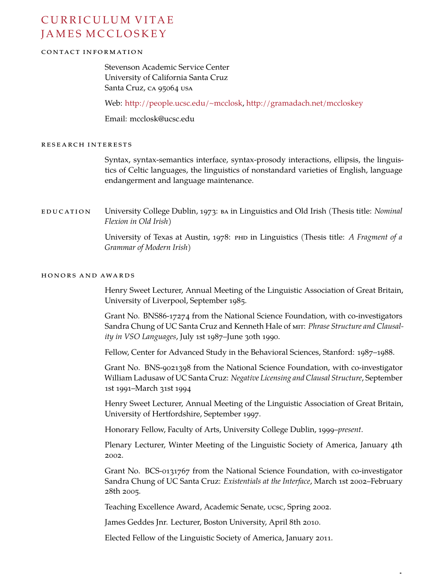# CURRICULUM VITAE JAMES MCCLOSKEY

# CONTACT INFORMATION

Stevenson Academic Service Center University of California Santa Cruz Santa Cruz, CA 95064 USA

Web: <http://people.ucsc.edu/~mcclosk>, <http://gramadach.net/mccloskey>

Email: mcclosk@ucsc.edu

## RESEARCH INTERESTS

Syntax, syntax-semantics interface, syntax-prosody interactions, ellipsis, the linguistics of Celtic languages, the linguistics of nonstandard varieties of English, language endangerment and language maintenance.

EDUCATION University College Dublin, 1973: BA in Linguistics and Old Irish (Thesis title: *Nominal Flexion in Old Irish*)

> University of Texas at Austin, 1978: PHD in Linguistics (Thesis title: *A Fragment of a Grammar of Modern Irish*)

## HONORS AND AWARDS

Henry Sweet Lecturer, Annual Meeting of the Linguistic Association of Great Britain, University of Liverpool, September 1985.

Grant No. BNS86-17274 from the National Science Foundation, with co-investigators Sandra Chung of UC Santa Cruz and Kenneth Hale of MIT: *Phrase Structure and Clausality in VSO Languages*, July 1st 1987–June 30th 1990.

Fellow, Center for Advanced Study in the Behavioral Sciences, Stanford: 1987–1988.

Grant No. BNS-9021398 from the National Science Foundation, with co-investigator William Ladusaw of UC Santa Cruz: *Negative Licensing and Clausal Structure*, September 1st 1991–March 31st 1994

Henry Sweet Lecturer, Annual Meeting of the Linguistic Association of Great Britain, University of Hertfordshire, September 1997.

Honorary Fellow, Faculty of Arts, University College Dublin, 1999–*present*.

Plenary Lecturer, Winter Meeting of the Linguistic Society of America, January 4th 2002.

Grant No. BCS-0131767 from the National Science Foundation, with co-investigator Sandra Chung of UC Santa Cruz: *Existentials at the Interface*, March 1st 2002–February 28th 2005.

Teaching Excellence Award, Academic Senate, ucsc, Spring 2002.

James Geddes Jnr. Lecturer, Boston University, April 8th 2010.

Elected Fellow of the Linguistic Society of America, January 2011.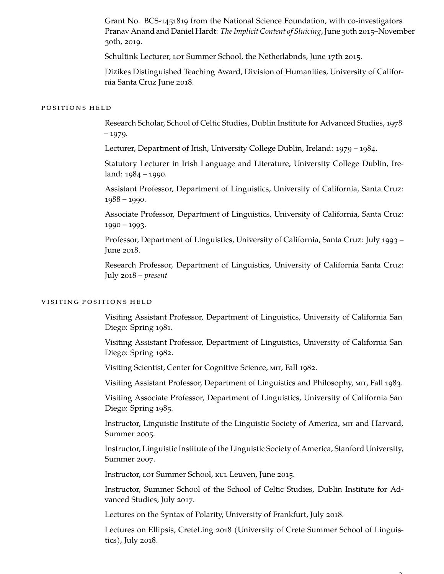Grant No. BCS-1451819 from the National Science Foundation, with co-investigators Pranav Anand and Daniel Hardt: *The Implicit Content of Sluicing*, June 30th 2015–November 30th, 2019.

Schultink Lecturer, Lor Summer School, the Netherlabnds, June 17th 2015.

Dizikes Distinguished Teaching Award, Division of Humanities, University of California Santa Cruz June 2018.

# POSITIONS HELD

Research Scholar, School of Celtic Studies, Dublin Institute for Advanced Studies, 1978 – 1979.

Lecturer, Department of Irish, University College Dublin, Ireland: 1979 – 1984.

Statutory Lecturer in Irish Language and Literature, University College Dublin, Ireland: 1984 – 1990.

Assistant Professor, Department of Linguistics, University of California, Santa Cruz: 1988 – 1990.

Associate Professor, Department of Linguistics, University of California, Santa Cruz: 1990 – 1993.

Professor, Department of Linguistics, University of California, Santa Cruz: July 1993 – June 2018.

Research Professor, Department of Linguistics, University of California Santa Cruz: July 2018 – *present*

## VISITING POSITIONS HELD

Visiting Assistant Professor, Department of Linguistics, University of California San Diego: Spring 1981.

Visiting Assistant Professor, Department of Linguistics, University of California San Diego: Spring 1982.

Visiting Scientist, Center for Cognitive Science, MIT, Fall 1982.

Visiting Assistant Professor, Department of Linguistics and Philosophy, MIT, Fall 1983.

Visiting Associate Professor, Department of Linguistics, University of California San Diego: Spring 1985.

Instructor, Linguistic Institute of the Linguistic Society of America, MIT and Harvard, Summer 2005.

Instructor, Linguistic Institute of the Linguistic Society of America, Stanford University, Summer 2007.

Instructor, LOT Summer School, KUL Leuven, June 2015.

Instructor, Summer School of the School of Celtic Studies, Dublin Institute for Advanced Studies, July 2017.

Lectures on the Syntax of Polarity, University of Frankfurt, July 2018.

Lectures on Ellipsis, CreteLing 2018 (University of Crete Summer School of Linguistics), July 2018.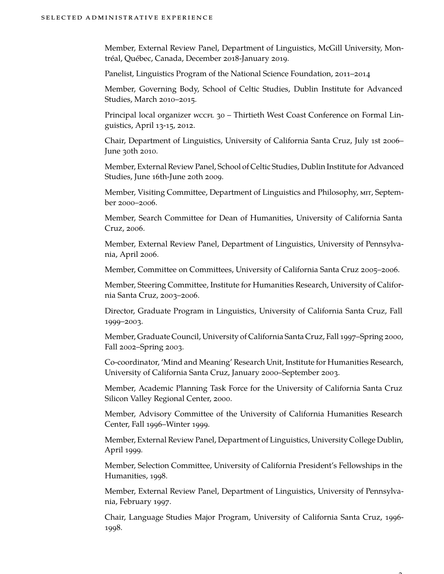Member, External Review Panel, Department of Linguistics, McGill University, Montréal, Québec, Canada, December 2018-January 2019.

Panelist, Linguistics Program of the National Science Foundation, 2011–2014

Member, Governing Body, School of Celtic Studies, Dublin Institute for Advanced Studies, March 2010–2015.

Principal local organizer wccrL 30 - Thirtieth West Coast Conference on Formal Linguistics, April 13-15, 2012.

Chair, Department of Linguistics, University of California Santa Cruz, July 1st 2006– June 30th 2010.

Member, External Review Panel, School of Celtic Studies, Dublin Institute for Advanced Studies, June 16th-June 20th 2009.

Member, Visiting Committee, Department of Linguistics and Philosophy, MIT, September 2000–2006.

Member, Search Committee for Dean of Humanities, University of California Santa Cruz, 2006.

Member, External Review Panel, Department of Linguistics, University of Pennsylvania, April 2006.

Member, Committee on Committees, University of California Santa Cruz 2005–2006.

Member, Steering Committee, Institute for Humanities Research, University of California Santa Cruz, 2003–2006.

Director, Graduate Program in Linguistics, University of California Santa Cruz, Fall 1999–2003.

Member, Graduate Council, University of California Santa Cruz, Fall 1997–Spring 2000, Fall 2002–Spring 2003.

Co-coordinator, 'Mind and Meaning' Research Unit, Institute for Humanities Research, University of California Santa Cruz, January 2000–September 2003.

Member, Academic Planning Task Force for the University of California Santa Cruz Silicon Valley Regional Center, 2000.

Member, Advisory Committee of the University of California Humanities Research Center, Fall 1996–Winter 1999.

Member, External Review Panel, Department of Linguistics, University College Dublin, April 1999.

Member, Selection Committee, University of California President's Fellowships in the Humanities, 1998.

Member, External Review Panel, Department of Linguistics, University of Pennsylvania, February 1997.

Chair, Language Studies Major Program, University of California Santa Cruz, 1996- 1998.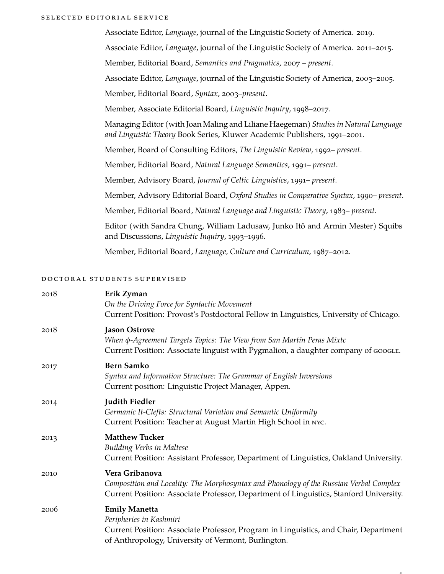#### SELECTED EDITORIAL SERVICE

Associate Editor, *Language*, journal of the Linguistic Society of America. 2019. Associate Editor, *Language*, journal of the Linguistic Society of America. 2011–2015. Member, Editorial Board, *Semantics and Pragmatics*, 2007 – *present*. Associate Editor, *Language*, journal of the Linguistic Society of America, 2003–2005. Member, Editorial Board, *Syntax*, 2003–*present*. Member, Associate Editorial Board, *Linguistic Inquiry*, 1998–2017. Managing Editor (with Joan Maling and Liliane Haegeman) *Studies in Natural Language and Linguistic Theory* Book Series, Kluwer Academic Publishers, 1991–2001. Member, Board of Consulting Editors, *The Linguistic Review*, 1992– *present*. Member, Editorial Board, *Natural Language Semantics*, 1991– *present*. Member, Advisory Board, *Journal of Celtic Linguistics*, 1991– *present*. Member, Advisory Editorial Board, *Oxford Studies in Comparative Syntax*, 1990– *present*. Member, Editorial Board, *Natural Language and Linguistic Theory*, 1983– *present*. Editor (with Sandra Chung, William Ladusaw, Junko Itô and Armin Mester) Squibs and Discussions, *Linguistic Inquiry*, 1993–1996.

Member, Editorial Board, *Language, Culture and Curriculum*, 1987–2012.

#### DOCTORAL STUDENTS SUPERVISED

| 2018 | Erik Zyman<br>On the Driving Force for Syntactic Movement<br>Current Position: Provost's Postdoctoral Fellow in Linguistics, University of Chicago.                                                |
|------|----------------------------------------------------------------------------------------------------------------------------------------------------------------------------------------------------|
| 2018 | <b>Jason Ostrove</b><br>When φ-Agreement Targets Topics: The View from San Martín Peras Mixtc<br>Current Position: Associate linguist with Pygmalion, a daughter company of GOOGLE.                |
| 2017 | <b>Bern Samko</b><br>Syntax and Information Structure: The Grammar of English Inversions<br>Current position: Linguistic Project Manager, Appen.                                                   |
| 2014 | <b>Judith Fiedler</b><br>Germanic It-Clefts: Structural Variation and Semantic Uniformity<br>Current Position: Teacher at August Martin High School in NYC.                                        |
| 2013 | <b>Matthew Tucker</b><br><b>Building Verbs in Maltese</b><br>Current Position: Assistant Professor, Department of Linguistics, Oakland University.                                                 |
| 2010 | Vera Gribanova<br>Composition and Locality: The Morphosyntax and Phonology of the Russian Verbal Complex<br>Current Position: Associate Professor, Department of Linguistics, Stanford University. |
| 2006 | <b>Emily Manetta</b><br>Peripheries in Kashmiri<br>Current Position: Associate Professor, Program in Linguistics, and Chair, Department<br>of Anthropology, University of Vermont, Burlington.     |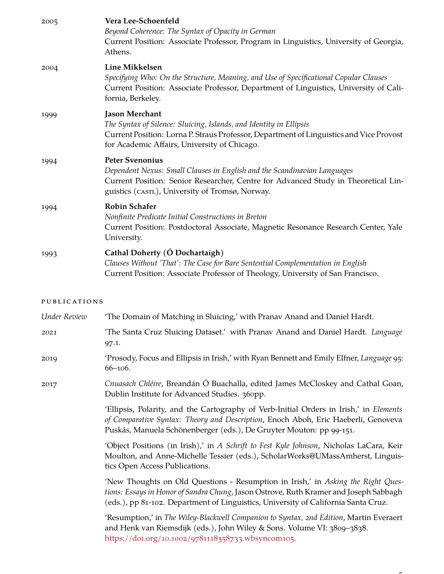| 2005                | Vera Lee-Schoenfeld<br>Beyond Coherence: The Syntax of Opacity in German<br>Current Position: Associate Professor, Program in Linguistics, University of Georgia,<br>Athens.                                                                |
|---------------------|---------------------------------------------------------------------------------------------------------------------------------------------------------------------------------------------------------------------------------------------|
| 2004                | Line Mikkelsen<br>Specifying Who: On the Structure, Meaning, and Use of Specificational Copular Clauses<br>Current Position: Associate Professor, Department of Linguistics, University of Cali-<br>fornia, Berkeley.                       |
| 1999                | <b>Jason Merchant</b><br>The Syntax of Silence: Sluicing, Islands, and Identity in Ellipsis<br>Current Position: Lorna P. Straus Professor, Department of Linguistics and Vice Provost<br>for Academic Affairs, University of Chicago.      |
| 1994                | <b>Peter Svenonius</b><br>Dependent Nexus: Small Clauses in English and the Scandinavian Languages<br>Current Position: Senior Researcher, Centre for Advanced Study in Theoretical Lin-<br>guistics (CASTL), University of Tromsø, Norway. |
| 1994                | <b>Robin Schafer</b><br>Nonfinite Predicate Initial Constructions in Breton<br>Current Position: Postdoctoral Associate, Magnetic Resonance Research Center, Yale<br>University.                                                            |
| 1993                | Cathal Doherty (Ó Dochartaigh)<br>Clauses Without 'That': The Case for Bare Sentential Complementation in English<br>Current Position: Associate Professor of Theology, University of San Francisco.                                        |
| <b>PUBLICATIONS</b> |                                                                                                                                                                                                                                             |
| Under Review        | 'The Domain of Matching in Sluicing,' with Pranav Anand and Daniel Hardt.                                                                                                                                                                   |

- *2021* 'The Santa Cruz Sluicing Dataset.' with Pranav Anand and Daniel Hardt. *Language* 97.1.
- 2019 'Prosody, Focus and Ellipsis in Irish,' with Ryan Bennett and Emily Elfner, *Language* 95: 66–106.
- 2017 *Cnuasach Chléire*, Breandán Ó Buachalla, edited James McCloskey and Cathal Goan, Dublin Institute for Advanced Studies. 360pp.

'Ellipsis, Polarity, and the Cartography of Verb-Initial Orders in Irish,' in *Elements of Comparative Syntax: Theory and Description*, Enoch Aboh, Eric Haeberli, Genoveva Puskás, Manuela Schönenberger (eds.), De Gruyter Mouton: pp 99-151.

'Object Positions (in Irish),' in *A Schrift to Fest Kyle Johnson*, Nicholas LaCara, Keir Moulton, and Anne-Michelle Tessier (eds.), ScholarWorks@UMassAmherst, Linguistics Open Access Publications.

'New Thoughts on Old Questions - Resumption in Irish,' in *Asking the Right Questions: Essays in Honor of Sandra Chung*, Jason Ostrove, Ruth Kramer and Joseph Sabbagh (eds.), pp 81-102. Department of Linguistics, University of California Santa Cruz.

'Resumption,' in *The Wiley-Blackwell Companion to Syntax, 2nd Edition*, Martin Everaert and Henk van Riemsdijk (eds.), John Wiley & Sons. Volume VI: 3809–3838. [https://doi.org/10.1002/9781118358733.wbsyncom105.](https://doi.org/10.1002/9781118358733.wbsyncom105)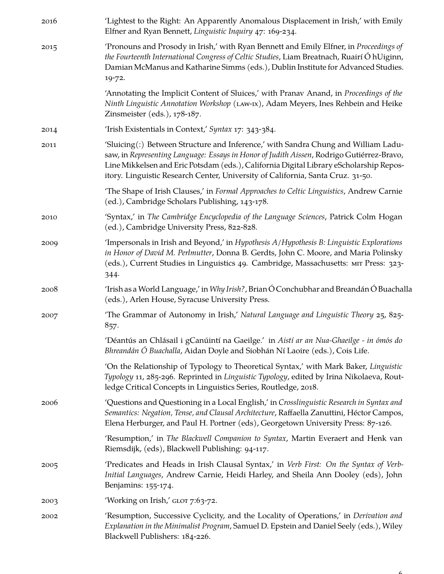| 2016 | 'Lightest to the Right: An Apparently Anomalous Displacement in Irish,' with Emily<br>Elfner and Ryan Bennett, Linguistic Inquiry 47: 169-234.                                                                                                                                                                                                               |
|------|--------------------------------------------------------------------------------------------------------------------------------------------------------------------------------------------------------------------------------------------------------------------------------------------------------------------------------------------------------------|
| 2015 | 'Pronouns and Prosody in Irish,' with Ryan Bennett and Emily Elfner, in <i>Proceedings of</i><br>the Fourteenth International Congress of Celtic Studies, Liam Breatnach, Ruairí Ó hUiginn,<br>Damian McManus and Katharine Simms (eds.), Dublin Institute for Advanced Studies.<br>19-72.                                                                   |
|      | 'Annotating the Implicit Content of Sluices,' with Pranav Anand, in Proceedings of the<br>Ninth Linguistic Annotation Workshop (LAW-IX), Adam Meyers, Ines Rehbein and Heike<br>Zinsmeister (eds.), 178-187.                                                                                                                                                 |
| 2014 | 'Irish Existentials in Context,' Syntax 17: 343-384.                                                                                                                                                                                                                                                                                                         |
| 2011 | 'Sluicing(:) Between Structure and Inference,' with Sandra Chung and William Ladu-<br>saw, in Representing Language: Essays in Honor of Judith Aissen, Rodrigo Gutiérrez-Bravo,<br>Line Mikkelsen and Eric Potsdam (eds.), California Digital Library eScholarship Repos-<br>itory. Linguistic Research Center, University of California, Santa Cruz. 31-50. |
|      | 'The Shape of Irish Clauses,' in Formal Approaches to Celtic Linguistics, Andrew Carnie<br>(ed.), Cambridge Scholars Publishing, 143-178.                                                                                                                                                                                                                    |
| 2010 | 'Syntax,' in The Cambridge Encyclopedia of the Language Sciences, Patrick Colm Hogan<br>(ed.), Cambridge University Press, 822-828.                                                                                                                                                                                                                          |
| 2009 | 'Impersonals in Irish and Beyond,' in Hypothesis A/Hypothesis B: Linguistic Explorations<br>in Honor of David M. Perlmutter, Donna B. Gerdts, John C. Moore, and Maria Polinsky<br>(eds.), Current Studies in Linguistics 49. Cambridge, Massachusetts: MIT Press: 323-<br>344.                                                                              |
| 2008 | 'Irish as a World Language,' in Why Irish?, Brian Ó Conchubhar and Breandán Ó Buachalla<br>(eds.), Arlen House, Syracuse University Press.                                                                                                                                                                                                                   |
| 2007 | 'The Grammar of Autonomy in Irish,' Natural Language and Linguistic Theory 25, 825-<br>857.                                                                                                                                                                                                                                                                  |
|      | 'Déantús an Chlásail i gCanúintí na Gaeilge.' in Aistí ar an Nua-Ghaeilge - in ómós do<br>Bhreandán Ó Buachalla, Aidan Doyle and Siobhán Ní Laoire (eds.), Cois Life.                                                                                                                                                                                        |
|      | 'On the Relationship of Typology to Theoretical Syntax,' with Mark Baker, Linguistic<br>Typology 11, 285-296. Reprinted in Linguistic Typology, edited by Irina Nikolaeva, Rout-<br>ledge Critical Concepts in Linguistics Series, Routledge, 2018.                                                                                                          |
| 2006 | 'Questions and Questioning in a Local English,' in Crosslinguistic Research in Syntax and<br>Semantics: Negation, Tense, and Clausal Architecture, Raffaella Zanuttini, Héctor Campos,<br>Elena Herburger, and Paul H. Portner (eds), Georgetown University Press: 87-126.                                                                                   |
|      | 'Resumption,' in The Blackwell Companion to Syntax, Martin Everaert and Henk van<br>Riemsdijk, (eds), Blackwell Publishing: 94-117.                                                                                                                                                                                                                          |
| 2005 | 'Predicates and Heads in Irish Clausal Syntax,' in Verb First: On the Syntax of Verb-<br>Initial Languages, Andrew Carnie, Heidi Harley, and Sheila Ann Dooley (eds), John<br>Benjamins: 155-174.                                                                                                                                                            |
| 2003 | 'Working on Irish,' GLOT 7:63-72.                                                                                                                                                                                                                                                                                                                            |
| 2002 | 'Resumption, Successive Cyclicity, and the Locality of Operations,' in Derivation and<br>Explanation in the Minimalist Program, Samuel D. Epstein and Daniel Seely (eds.), Wiley<br>Blackwell Publishers: 184-226.                                                                                                                                           |
|      |                                                                                                                                                                                                                                                                                                                                                              |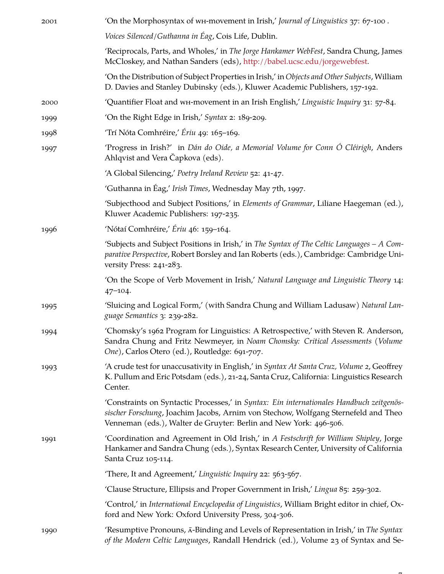| 2001 | On the Morphosyntax of wh-movement in Irish,' Journal of Linguistics 37: 67-100.                                                                                                                                                                    |
|------|-----------------------------------------------------------------------------------------------------------------------------------------------------------------------------------------------------------------------------------------------------|
|      | Voices Silenced/Guthanna in Éag, Cois Life, Dublin.                                                                                                                                                                                                 |
|      | 'Reciprocals, Parts, and Wholes,' in The Jorge Hankamer WebFest, Sandra Chung, James<br>McCloskey, and Nathan Sanders (eds), http://babel.ucsc.edu/jorgewebfest.                                                                                    |
|      | 'On the Distribution of Subject Properties in Irish,' in Objects and Other Subjects, William<br>D. Davies and Stanley Dubinsky (eds.), Kluwer Academic Publishers, 157-192.                                                                         |
| 2000 | 'Quantifier Float and wH-movement in an Irish English,' Linguistic Inquiry 31: 57-84.                                                                                                                                                               |
| 1999 | 'On the Right Edge in Irish,' Syntax 2: 189-209.                                                                                                                                                                                                    |
| 1998 | 'Trí Nóta Comhréire,' Ériu 49: 165–169.                                                                                                                                                                                                             |
| 1997 | 'Progress in Irish?' in Dán do Oide, a Memorial Volume for Conn Ó Cléirigh, Anders<br>Ahlqvist and Vera Čapkova (eds).                                                                                                                              |
|      | 'A Global Silencing,' Poetry Ireland Review 52: 41-47.                                                                                                                                                                                              |
|      | 'Guthanna in Éag,' Irish Times, Wednesday May 7th, 1997.                                                                                                                                                                                            |
|      | 'Subjecthood and Subject Positions,' in Elements of Grammar, Liliane Haegeman (ed.),<br>Kluwer Academic Publishers: 197-235.                                                                                                                        |
| 1996 | 'Nótaí Comhréire,' Ériu 46: 159-164.                                                                                                                                                                                                                |
|      | 'Subjects and Subject Positions in Irish,' in The Syntax of The Celtic Languages - A Com-<br>parative Perspective, Robert Borsley and Ian Roberts (eds.), Cambridge: Cambridge Uni-<br>versity Press: 241-283.                                      |
|      | 'On the Scope of Verb Movement in Irish,' Natural Language and Linguistic Theory 14:<br>$47 - 104$ .                                                                                                                                                |
| 1995 | 'Sluicing and Logical Form,' (with Sandra Chung and William Ladusaw) Natural Lan-<br>guage Semantics 3: 239-282.                                                                                                                                    |
| 1994 | 'Chomsky's 1962 Program for Linguistics: A Retrospective,' with Steven R. Anderson,<br>Sandra Chung and Fritz Newmeyer, in Noam Chomsky: Critical Assessments (Volume<br>One), Carlos Otero (ed.), Routledge: 691-707.                              |
| 1993 | 'A crude test for unaccusativity in English,' in Syntax At Santa Cruz, Volume 2, Geoffrey<br>K. Pullum and Eric Potsdam (eds.), 21-24, Santa Cruz, California: Linguistics Research<br>Center.                                                      |
|      | 'Constraints on Syntactic Processes,' in Syntax: Ein internationales Handbuch zeitgenös-<br>sischer Forschung, Joachim Jacobs, Arnim von Stechow, Wolfgang Sternefeld and Theo<br>Venneman (eds.), Walter de Gruyter: Berlin and New York: 496-506. |
| 1991 | 'Coordination and Agreement in Old Irish,' in A Festschrift for William Shipley, Jorge<br>Hankamer and Sandra Chung (eds.), Syntax Research Center, University of California<br>Santa Cruz 105-114.                                                 |
|      | 'There, It and Agreement,' Linguistic Inquiry 22: 563-567.                                                                                                                                                                                          |
|      | 'Clause Structure, Ellipsis and Proper Government in Irish,' Lingua 85: 259-302.                                                                                                                                                                    |
|      | 'Control,' in International Encyclopedia of Linguistics, William Bright editor in chief, Ox-<br>ford and New York: Oxford University Press, 304-306.                                                                                                |
| 1990 | 'Resumptive Pronouns, $\bar{A}$ -Binding and Levels of Representation in Irish,' in The Syntax<br>of the Modern Celtic Languages, Randall Hendrick (ed.), Volume 23 of Syntax and Se-                                                               |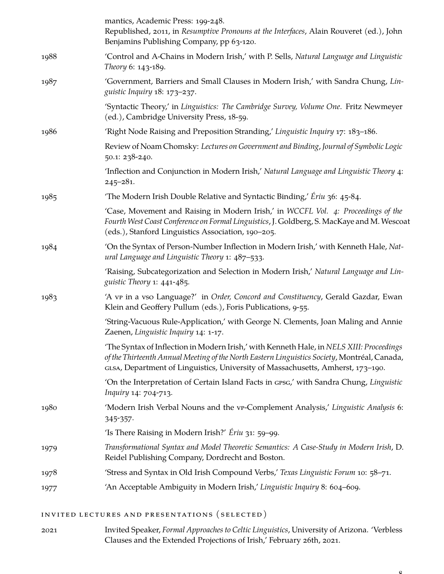|      | mantics, Academic Press: 199-248.<br>Republished, 2011, in Resumptive Pronouns at the Interfaces, Alain Rouveret (ed.), John<br>Benjamins Publishing Company, pp 63-120.                                                                                                    |
|------|-----------------------------------------------------------------------------------------------------------------------------------------------------------------------------------------------------------------------------------------------------------------------------|
| 1988 | 'Control and A-Chains in Modern Irish,' with P. Sells, Natural Language and Linguistic<br>Theory 6: 143-189.                                                                                                                                                                |
| 1987 | 'Government, Barriers and Small Clauses in Modern Irish,' with Sandra Chung, Lin-<br>guistic Inquiry 18: 173-237.                                                                                                                                                           |
|      | 'Syntactic Theory,' in Linguistics: The Cambridge Survey, Volume One. Fritz Newmeyer<br>(ed.), Cambridge University Press, 18-59.                                                                                                                                           |
| 1986 | 'Right Node Raising and Preposition Stranding,' Linguistic Inquiry 17: 183-186.                                                                                                                                                                                             |
|      | Review of Noam Chomsky: Lectures on Government and Binding, Journal of Symbolic Logic<br>50.1: 238-240.                                                                                                                                                                     |
|      | 'Inflection and Conjunction in Modern Irish,' Natural Language and Linguistic Theory 4:<br>$245 - 281$ .                                                                                                                                                                    |
| 1985 | The Modern Irish Double Relative and Syntactic Binding,' Ériu 36: 45-84.                                                                                                                                                                                                    |
|      | 'Case, Movement and Raising in Modern Irish,' in WCCFL Vol. 4: Proceedings of the<br>Fourth West Coast Conference on Formal Linguistics, J. Goldberg, S. MacKaye and M. Wescoat<br>(eds.), Stanford Linguistics Association, 190-205.                                       |
| 1984 | 'On the Syntax of Person-Number Inflection in Modern Irish,' with Kenneth Hale, Nat-<br>ural Language and Linguistic Theory 1: 487-533.                                                                                                                                     |
|      | 'Raising, Subcategorization and Selection in Modern Irish,' Natural Language and Lin-<br>guistic Theory 1: 441-485.                                                                                                                                                         |
| 1983 | 'A vr in a vso Language?' in Order, Concord and Constituency, Gerald Gazdar, Ewan<br>Klein and Geoffery Pullum (eds.), Foris Publications, 9-55.                                                                                                                            |
|      | 'String-Vacuous Rule-Application,' with George N. Clements, Joan Maling and Annie<br>Zaenen, Linguistic Inquiry 14: 1-17.                                                                                                                                                   |
|      | 'The Syntax of Inflection in Modern Irish,' with Kenneth Hale, in NELS XIII: Proceedings<br>of the Thirteenth Annual Meeting of the North Eastern Linguistics Society, Montréal, Canada,<br>GLSA, Department of Linguistics, University of Massachusetts, Amherst, 173-190. |
|      | 'On the Interpretation of Certain Island Facts in GPSG,' with Sandra Chung, Linguistic<br>Inquiry 14: 704-713.                                                                                                                                                              |
| 1980 | 'Modern Irish Verbal Nouns and the vr-Complement Analysis,' Linguistic Analysis 6:<br>345-357.                                                                                                                                                                              |
|      | 'Is There Raising in Modern Irish?' Ériu 31: 59-99.                                                                                                                                                                                                                         |
| 1979 | Transformational Syntax and Model Theoretic Semantics: A Case-Study in Modern Irish, D.<br>Reidel Publishing Company, Dordrecht and Boston.                                                                                                                                 |
| 1978 | 'Stress and Syntax in Old Irish Compound Verbs,' Texas Linguistic Forum 10: 58-71.                                                                                                                                                                                          |
| 1977 | 'An Acceptable Ambiguity in Modern Irish,' Linguistic Inquiry 8: 604-609.                                                                                                                                                                                                   |

INVITED LECTURES AND PRESENTATIONS (SELECTED)

2021 Invited Speaker, *Formal Approaches to Celtic Linguistics*, University of Arizona. 'Verbless Clauses and the Extended Projections of Irish,' February 26th, 2021.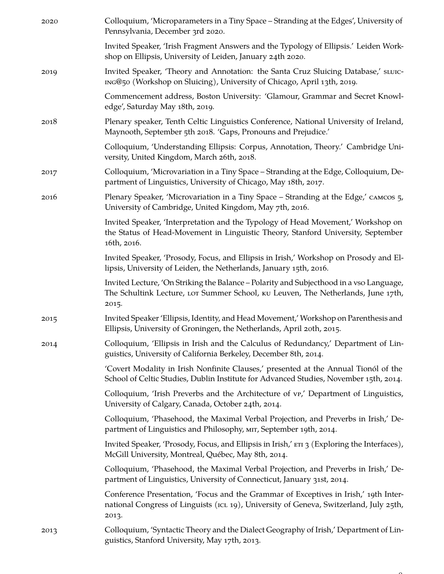| 2020 | Colloquium, 'Microparameters in a Tiny Space - Stranding at the Edges', University of<br>Pennsylvania, December 3rd 2020.                                                               |
|------|-----------------------------------------------------------------------------------------------------------------------------------------------------------------------------------------|
|      | Invited Speaker, 'Irish Fragment Answers and the Typology of Ellipsis.' Leiden Work-<br>shop on Ellipsis, University of Leiden, January 24th 2020.                                      |
| 2019 | Invited Speaker, 'Theory and Annotation: the Santa Cruz Sluicing Database,' sLUIC-<br>ING@50 (Workshop on Sluicing), University of Chicago, April 13th, 2019.                           |
|      | Commencement address, Boston University: 'Glamour, Grammar and Secret Knowl-<br>edge', Saturday May 18th, 2019.                                                                         |
| 2018 | Plenary speaker, Tenth Celtic Linguistics Conference, National University of Ireland,<br>Maynooth, September 5th 2018. 'Gaps, Pronouns and Prejudice.'                                  |
|      | Colloquium, 'Understanding Ellipsis: Corpus, Annotation, Theory.' Cambridge Uni-<br>versity, United Kingdom, March 26th, 2018.                                                          |
| 2017 | Colloquium, 'Microvariation in a Tiny Space - Stranding at the Edge, Colloquium, De-<br>partment of Linguistics, University of Chicago, May 18th, 2017.                                 |
| 2016 | Plenary Speaker, 'Microvariation in a Tiny Space - Stranding at the Edge,' слысов 5,<br>University of Cambridge, United Kingdom, May 7th, 2016.                                         |
|      | Invited Speaker, 'Interpretation and the Typology of Head Movement,' Workshop on<br>the Status of Head-Movement in Linguistic Theory, Stanford University, September<br>16th, 2016.     |
|      | Invited Speaker, 'Prosody, Focus, and Ellipsis in Irish,' Workshop on Prosody and El-<br>lipsis, University of Leiden, the Netherlands, January 15th, 2016.                             |
|      | Invited Lecture, 'On Striking the Balance – Polarity and Subjecthood in a vso Language,<br>The Schultink Lecture, Lor Summer School, ku Leuven, The Netherlands, June 17th,<br>2015.    |
| 2015 | Invited Speaker 'Ellipsis, Identity, and Head Movement,' Workshop on Parenthesis and<br>Ellipsis, University of Groningen, the Netherlands, April 20th, 2015.                           |
| 2014 | Colloquium, 'Ellipsis in Irish and the Calculus of Redundancy,' Department of Lin-<br>guistics, University of California Berkeley, December 8th, 2014.                                  |
|      | 'Covert Modality in Irish Nonfinite Clauses,' presented at the Annual Tionól of the<br>School of Celtic Studies, Dublin Institute for Advanced Studies, November 15th, 2014.            |
|      | Colloquium, 'Irish Preverbs and the Architecture of vp,' Department of Linguistics,<br>University of Calgary, Canada, October 24th, 2014.                                               |
|      | Colloquium, 'Phasehood, the Maximal Verbal Projection, and Preverbs in Irish,' De-<br>partment of Linguistics and Philosophy, MIT, September 19th, 2014.                                |
|      | Invited Speaker, 'Prosody, Focus, and Ellipsis in Irish,' ETI 3 (Exploring the Interfaces),<br>McGill University, Montreal, Québec, May 8th, 2014.                                      |
|      | Colloquium, 'Phasehood, the Maximal Verbal Projection, and Preverbs in Irish,' De-<br>partment of Linguistics, University of Connecticut, January 31st, 2014.                           |
|      | Conference Presentation, 'Focus and the Grammar of Exceptives in Irish,' 19th Inter-<br>national Congress of Linguists (ICL 19), University of Geneva, Switzerland, July 25th,<br>2013. |
| 2013 | Colloquium, 'Syntactic Theory and the Dialect Geography of Irish,' Department of Lin-<br>guistics, Stanford University, May 17th, 2013.                                                 |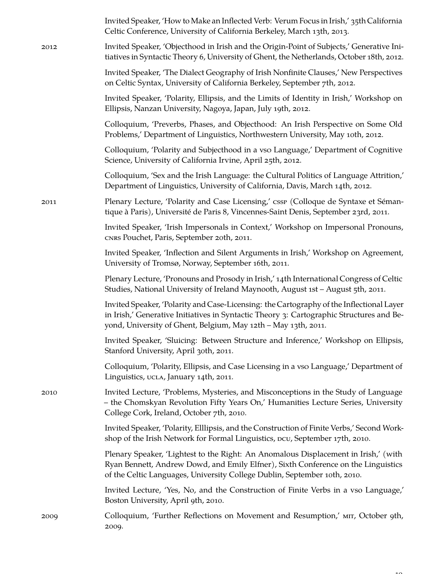|      | Invited Speaker, 'How to Make an Inflected Verb: Verum Focus in Irish,' 35th California<br>Celtic Conference, University of California Berkeley, March 13th, 2013.                                                                                     |
|------|--------------------------------------------------------------------------------------------------------------------------------------------------------------------------------------------------------------------------------------------------------|
| 2012 | Invited Speaker, 'Objecthood in Irish and the Origin-Point of Subjects,' Generative Ini-<br>tiatives in Syntactic Theory 6, University of Ghent, the Netherlands, October 18th, 2012.                                                                  |
|      | Invited Speaker, 'The Dialect Geography of Irish Nonfinite Clauses,' New Perspectives<br>on Celtic Syntax, University of California Berkeley, September 7th, 2012.                                                                                     |
|      | Invited Speaker, 'Polarity, Ellipsis, and the Limits of Identity in Irish,' Workshop on<br>Ellipsis, Nanzan University, Nagoya, Japan, July 19th, 2012.                                                                                                |
|      | Colloquium, 'Preverbs, Phases, and Objecthood: An Irish Perspective on Some Old<br>Problems,' Department of Linguistics, Northwestern University, May 10th, 2012.                                                                                      |
|      | Colloquium, 'Polarity and Subjecthood in a vso Language,' Department of Cognitive<br>Science, University of California Irvine, April 25th, 2012.                                                                                                       |
|      | Colloquium, 'Sex and the Irish Language: the Cultural Politics of Language Attrition,'<br>Department of Linguistics, University of California, Davis, March 14th, 2012.                                                                                |
| 2011 | Plenary Lecture, 'Polarity and Case Licensing,' cssp (Colloque de Syntaxe et Séman-<br>tique à Paris), Université de Paris 8, Vincennes-Saint Denis, September 23rd, 2011.                                                                             |
|      | Invited Speaker, 'Irish Impersonals in Context,' Workshop on Impersonal Pronouns,<br>CNRS Pouchet, Paris, September 20th, 2011.                                                                                                                        |
|      | Invited Speaker, 'Inflection and Silent Arguments in Irish,' Workshop on Agreement,<br>University of Tromsø, Norway, September 16th, 2011.                                                                                                             |
|      | Plenary Lecture, 'Pronouns and Prosody in Irish,' 14th International Congress of Celtic<br>Studies, National University of Ireland Maynooth, August 1st - August 5th, 2011.                                                                            |
|      | Invited Speaker, 'Polarity and Case-Licensing: the Cartography of the Inflectional Layer<br>in Irish,' Generative Initiatives in Syntactic Theory 3: Cartographic Structures and Be-<br>yond, University of Ghent, Belgium, May 12th - May 13th, 2011. |
|      | Invited Speaker, 'Sluicing: Between Structure and Inference,' Workshop on Ellipsis,<br>Stanford University, April 30th, 2011.                                                                                                                          |
|      | Colloquium, 'Polarity, Ellipsis, and Case Licensing in a vso Language,' Department of<br>Linguistics, UCLA, January 14th, 2011.                                                                                                                        |
| 2010 | Invited Lecture, 'Problems, Mysteries, and Misconceptions in the Study of Language<br>- the Chomskyan Revolution Fifty Years On,' Humanities Lecture Series, University<br>College Cork, Ireland, October 7th, 2010.                                   |
|      | Invited Speaker, 'Polarity, Elllipsis, and the Construction of Finite Verbs,' Second Work-<br>shop of the Irish Network for Formal Linguistics, DCU, September 17th, 2010.                                                                             |
|      | Plenary Speaker, 'Lightest to the Right: An Anomalous Displacement in Irish,' (with<br>Ryan Bennett, Andrew Dowd, and Emily Elfner), Sixth Conference on the Linguistics<br>of the Celtic Languages, University College Dublin, September 10th, 2010.  |
|      | Invited Lecture, 'Yes, No, and the Construction of Finite Verbs in a vso Language,'<br>Boston University, April 9th, 2010.                                                                                                                             |
| 2009 | Colloquium, 'Further Reflections on Movement and Resumption,' MIT, October 9th,<br>2009.                                                                                                                                                               |